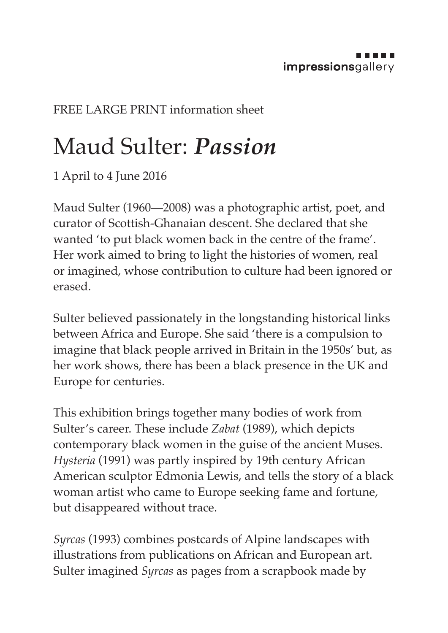## FREE LARGE PRINT information sheet

## Maud Sulter: *Passion*

1 April to 4 June 2016

Maud Sulter (1960—2008) was a photographic artist, poet, and curator of Scottish-Ghanaian descent. She declared that she wanted 'to put black women back in the centre of the frame'. Her work aimed to bring to light the histories of women, real or imagined, whose contribution to culture had been ignored or erased.

Sulter believed passionately in the longstanding historical links between Africa and Europe. She said 'there is a compulsion to imagine that black people arrived in Britain in the 1950s' but, as her work shows, there has been a black presence in the UK and Europe for centuries.

This exhibition brings together many bodies of work from Sulter's career. These include *Zabat* (1989), which depicts contemporary black women in the guise of the ancient Muses. *Hysteria* (1991) was partly inspired by 19th century African American sculptor Edmonia Lewis, and tells the story of a black woman artist who came to Europe seeking fame and fortune, but disappeared without trace.

*Syrcas* (1993) combines postcards of Alpine landscapes with illustrations from publications on African and European art. Sulter imagined *Syrcas* as pages from a scrapbook made by